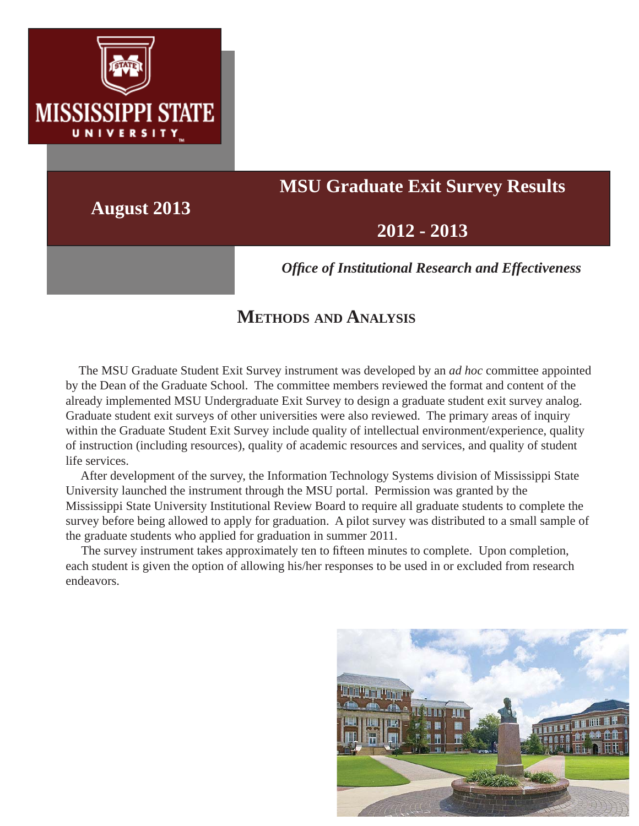

# **MSU Graduate Exit Survey Results**

**August 2013**

## **2012 - 2013**

*Offi ce of Institutional Research and Effectiveness*

## **METHODS AND ANALYSIS**

 The MSU Graduate Student Exit Survey instrument was developed by an *ad hoc* committee appointed by the Dean of the Graduate School. The committee members reviewed the format and content of the already implemented MSU Undergraduate Exit Survey to design a graduate student exit survey analog. Graduate student exit surveys of other universities were also reviewed. The primary areas of inquiry within the Graduate Student Exit Survey include quality of intellectual environment/experience, quality of instruction (including resources), quality of academic resources and services, and quality of student life services.

 After development of the survey, the Information Technology Systems division of Mississippi State University launched the instrument through the MSU portal. Permission was granted by the Mississippi State University Institutional Review Board to require all graduate students to complete the survey before being allowed to apply for graduation. A pilot survey was distributed to a small sample of the graduate students who applied for graduation in summer 2011.

The survey instrument takes approximately ten to fifteen minutes to complete. Upon completion, each student is given the option of allowing his/her responses to be used in or excluded from research endeavors.

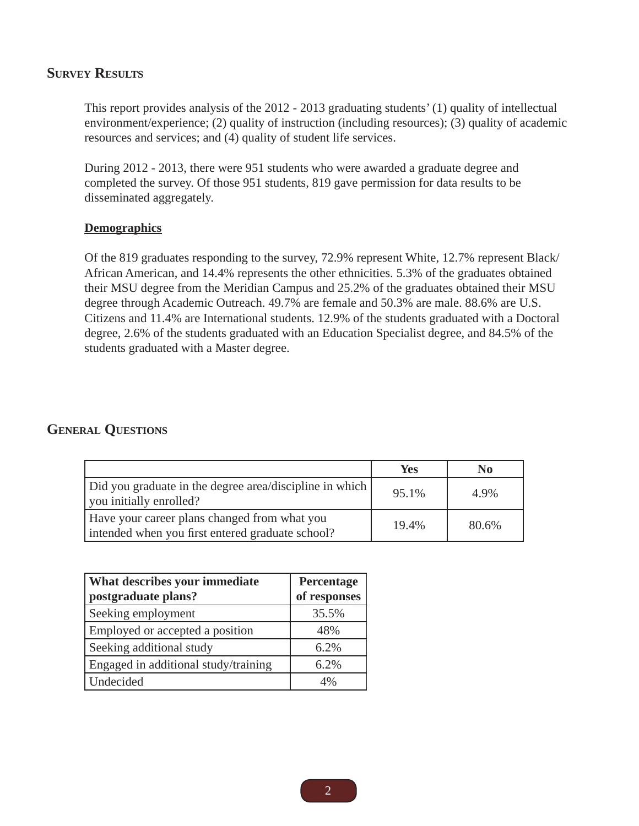#### **SURVEY RESULTS**

This report provides analysis of the 2012 - 2013 graduating students' (1) quality of intellectual environment/experience; (2) quality of instruction (including resources); (3) quality of academic resources and services; and (4) quality of student life services.

During 2012 - 2013, there were 951 students who were awarded a graduate degree and completed the survey. Of those 951 students, 819 gave permission for data results to be disseminated aggregately.

#### **Demographics**

Of the 819 graduates responding to the survey, 72.9% represent White, 12.7% represent Black/ African American, and 14.4% represents the other ethnicities. 5.3% of the graduates obtained their MSU degree from the Meridian Campus and 25.2% of the graduates obtained their MSU degree through Academic Outreach. 49.7% are female and 50.3% are male. 88.6% are U.S. Citizens and 11.4% are International students. 12.9% of the students graduated with a Doctoral degree, 2.6% of the students graduated with an Education Specialist degree, and 84.5% of the students graduated with a Master degree.

#### **GENERAL QUESTIONS**

|                                                                                                  | <b>Yes</b> | No    |
|--------------------------------------------------------------------------------------------------|------------|-------|
| Did you graduate in the degree area/discipline in which<br>you initially enrolled?               | 95.1%      | 4.9%  |
| Have your career plans changed from what you<br>intended when you first entered graduate school? | 19.4%      | 80.6% |

| What describes your immediate<br>postgraduate plans? | Percentage<br>of responses |
|------------------------------------------------------|----------------------------|
| Seeking employment                                   | 35.5%                      |
| Employed or accepted a position                      | 48%                        |
| Seeking additional study                             | 6.2%                       |
| Engaged in additional study/training                 | 6.2%                       |
| Undecided                                            | 4%                         |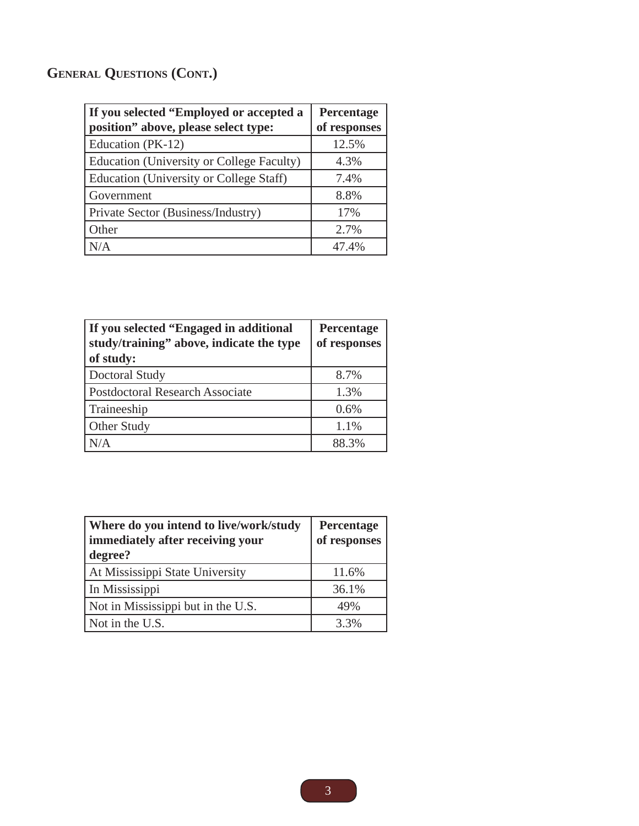## **GENERAL QUESTIONS (CONT.)**

| If you selected "Employed or accepted a<br>position" above, please select type: | Percentage<br>of responses |
|---------------------------------------------------------------------------------|----------------------------|
| Education (PK-12)                                                               | 12.5%                      |
| Education (University or College Faculty)                                       | 4.3%                       |
| <b>Education (University or College Staff)</b>                                  | 7.4%                       |
| Government                                                                      | 8.8%                       |
| Private Sector (Business/Industry)                                              | 17%                        |
| Other                                                                           | 2.7%                       |
| N/A                                                                             | 47.4%                      |

| If you selected "Engaged in additional"<br>study/training" above, indicate the type<br>of study: | Percentage<br>of responses |
|--------------------------------------------------------------------------------------------------|----------------------------|
| Doctoral Study                                                                                   | 8.7%                       |
| <b>Postdoctoral Research Associate</b>                                                           | 1.3%                       |
| Traineeship                                                                                      | 0.6%                       |
| Other Study                                                                                      | 1.1%                       |
| N/A                                                                                              | 88.3%                      |

| Where do you intend to live/work/study<br>immediately after receiving your<br>degree? | Percentage<br>of responses |
|---------------------------------------------------------------------------------------|----------------------------|
| At Mississippi State University                                                       | 11.6%                      |
| In Mississippi                                                                        | 36.1%                      |
| Not in Mississippi but in the U.S.                                                    | 49%                        |
| Not in the U.S.                                                                       | 3.3%                       |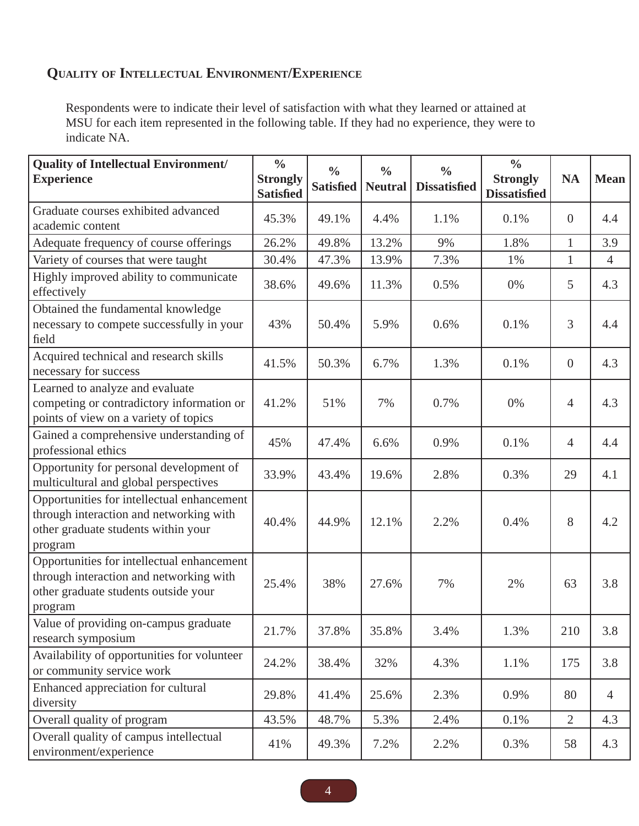### **QUALITY OF INTELLECTUAL ENVIRONMENT/EXPERIENCE**

Respondents were to indicate their level of satisfaction with what they learned or attained at MSU for each item represented in the following table. If they had no experience, they were to indicate NA.

| <b>Quality of Intellectual Environment/</b><br><b>Experience</b>                                                                         | $\frac{0}{0}$<br><b>Strongly</b><br><b>Satisfied</b> | $\frac{0}{0}$<br><b>Satisfied</b> | $\frac{0}{0}$<br><b>Neutral</b> | $\frac{0}{0}$<br><b>Dissatisfied</b> | $\frac{0}{0}$<br><b>Strongly</b><br><b>Dissatisfied</b> | <b>NA</b>      | <b>Mean</b>    |
|------------------------------------------------------------------------------------------------------------------------------------------|------------------------------------------------------|-----------------------------------|---------------------------------|--------------------------------------|---------------------------------------------------------|----------------|----------------|
| Graduate courses exhibited advanced<br>academic content                                                                                  | 45.3%                                                | 49.1%                             | 4.4%                            | 1.1%                                 | 0.1%                                                    | $\overline{0}$ | 4.4            |
| Adequate frequency of course offerings                                                                                                   | 26.2%                                                | 49.8%                             | 13.2%                           | 9%                                   | 1.8%                                                    | $\mathbf{1}$   | 3.9            |
| Variety of courses that were taught                                                                                                      | 30.4%                                                | 47.3%                             | 13.9%                           | 7.3%                                 | 1%                                                      | $\mathbf{1}$   | $\overline{4}$ |
| Highly improved ability to communicate<br>effectively                                                                                    | 38.6%                                                | 49.6%                             | 11.3%                           | 0.5%                                 | 0%                                                      | 5              | 4.3            |
| Obtained the fundamental knowledge<br>necessary to compete successfully in your<br>field                                                 | 43%                                                  | 50.4%                             | 5.9%                            | 0.6%                                 | 0.1%                                                    | $\overline{3}$ | 4.4            |
| Acquired technical and research skills<br>necessary for success                                                                          | 41.5%                                                | 50.3%                             | 6.7%                            | 1.3%                                 | 0.1%                                                    | $\overline{0}$ | 4.3            |
| Learned to analyze and evaluate<br>competing or contradictory information or<br>points of view on a variety of topics                    | 41.2%                                                | 51%                               | 7%                              | 0.7%                                 | 0%                                                      | $\overline{4}$ | 4.3            |
| Gained a comprehensive understanding of<br>professional ethics                                                                           | 45%                                                  | 47.4%                             | 6.6%                            | 0.9%                                 | 0.1%                                                    | 4              | 4.4            |
| Opportunity for personal development of<br>multicultural and global perspectives                                                         | 33.9%                                                | 43.4%                             | 19.6%                           | 2.8%                                 | 0.3%                                                    | 29             | 4.1            |
| Opportunities for intellectual enhancement<br>through interaction and networking with<br>other graduate students within your<br>program  | 40.4%                                                | 44.9%                             | 12.1%                           | 2.2%                                 | 0.4%                                                    | 8              | 4.2            |
| Opportunities for intellectual enhancement<br>through interaction and networking with<br>other graduate students outside your<br>program | 25.4%                                                | 38%                               | 27.6%                           | 7%                                   | 2%                                                      | 63             | 3.8            |
| Value of providing on-campus graduate<br>research symposium                                                                              | 21.7%                                                | 37.8%                             | 35.8%                           | 3.4%                                 | 1.3%                                                    | 210            | 3.8            |
| Availability of opportunities for volunteer<br>or community service work                                                                 | 24.2%                                                | 38.4%                             | 32%                             | 4.3%                                 | 1.1%                                                    | 175            | 3.8            |
| Enhanced appreciation for cultural<br>diversity                                                                                          | 29.8%                                                | 41.4%                             | 25.6%                           | 2.3%                                 | 0.9%                                                    | 80             | 4              |
| Overall quality of program                                                                                                               | 43.5%                                                | 48.7%                             | 5.3%                            | 2.4%                                 | 0.1%                                                    | $\overline{2}$ | 4.3            |
| Overall quality of campus intellectual<br>environment/experience                                                                         | 41%                                                  | 49.3%                             | 7.2%                            | 2.2%                                 | 0.3%                                                    | 58             | 4.3            |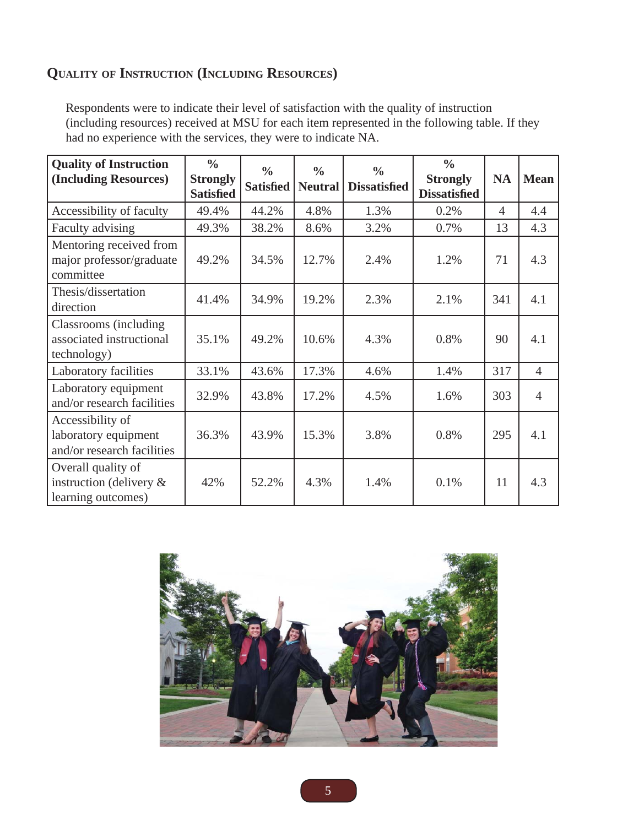### **QUALITY OF INSTRUCTION (INCLUDING RESOURCES)**

Respondents were to indicate their level of satisfaction with the quality of instruction (including resources) received at MSU for each item represented in the following table. If they had no experience with the services, they were to indicate NA.

| <b>Quality of Instruction</b><br>(Including Resources)                 | $\frac{0}{0}$<br><b>Strongly</b><br><b>Satisfied</b> | $\frac{0}{0}$<br><b>Satisfied</b> | $\frac{0}{0}$<br><b>Neutral</b> | $\frac{0}{0}$<br><b>Dissatisfied</b> | $\frac{0}{0}$<br><b>Strongly</b><br><b>Dissatisfied</b> | <b>NA</b>      | <b>Mean</b>    |
|------------------------------------------------------------------------|------------------------------------------------------|-----------------------------------|---------------------------------|--------------------------------------|---------------------------------------------------------|----------------|----------------|
| Accessibility of faculty                                               | 49.4%                                                | 44.2%                             | 4.8%                            | 1.3%                                 | 0.2%                                                    | $\overline{4}$ | 4.4            |
| Faculty advising                                                       | 49.3%                                                | 38.2%                             | 8.6%                            | 3.2%                                 | 0.7%                                                    | 13             | 4.3            |
| Mentoring received from<br>major professor/graduate<br>committee       | 49.2%                                                | 34.5%                             | 12.7%                           | 2.4%                                 | 1.2%                                                    | 71             | 4.3            |
| Thesis/dissertation<br>direction                                       | 41.4%                                                | 34.9%                             | 19.2%                           | 2.3%                                 | 2.1%                                                    | 341            | 4.1            |
| Classrooms (including)<br>associated instructional<br>technology)      | 35.1%                                                | 49.2%                             | 10.6%                           | 4.3%                                 | 0.8%                                                    | 90             | 4.1            |
| Laboratory facilities                                                  | 33.1%                                                | 43.6%                             | 17.3%                           | 4.6%                                 | 1.4%                                                    | 317            | $\overline{4}$ |
| Laboratory equipment<br>and/or research facilities                     | 32.9%                                                | 43.8%                             | 17.2%                           | 4.5%                                 | 1.6%                                                    | 303            | $\overline{4}$ |
| Accessibility of<br>laboratory equipment<br>and/or research facilities | 36.3%                                                | 43.9%                             | 15.3%                           | 3.8%                                 | 0.8%                                                    | 295            | 4.1            |
| Overall quality of<br>instruction (delivery &<br>learning outcomes)    | 42%                                                  | 52.2%                             | 4.3%                            | 1.4%                                 | 0.1%                                                    | 11             | 4.3            |

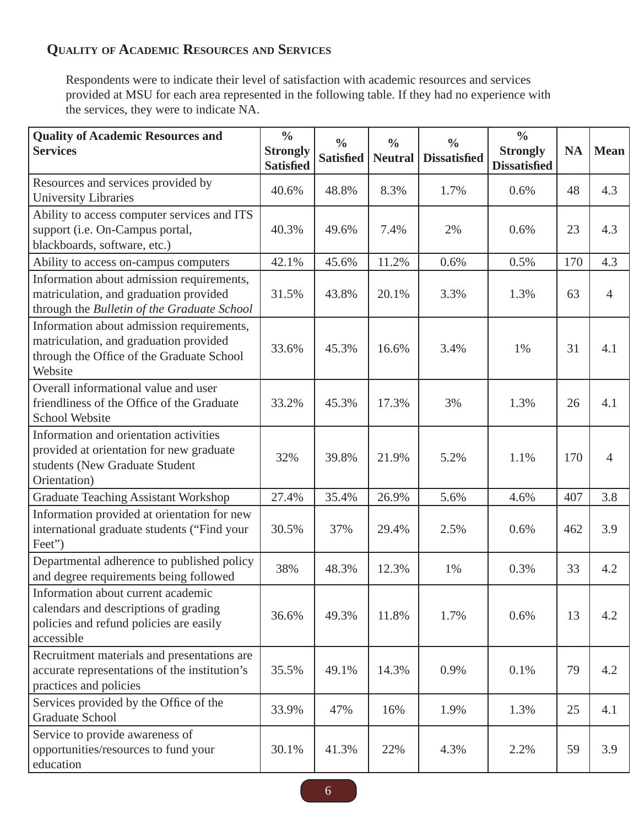## **QUALITY OF ACADEMIC RESOURCES AND SERVICES**

Respondents were to indicate their level of satisfaction with academic resources and services provided at MSU for each area represented in the following table. If they had no experience with the services, they were to indicate NA.

| <b>Quality of Academic Resources and</b><br><b>Services</b>                                                                                 | $\frac{0}{0}$<br><b>Strongly</b><br><b>Satisfied</b> | $\frac{0}{0}$<br><b>Satisfied</b> | $\frac{0}{0}$<br><b>Neutral</b> | $\frac{0}{0}$<br><b>Dissatisfied</b> | $\frac{0}{0}$<br><b>Strongly</b><br><b>Dissatisfied</b> | <b>NA</b> | <b>Mean</b>    |
|---------------------------------------------------------------------------------------------------------------------------------------------|------------------------------------------------------|-----------------------------------|---------------------------------|--------------------------------------|---------------------------------------------------------|-----------|----------------|
| Resources and services provided by<br><b>University Libraries</b>                                                                           | 40.6%                                                | 48.8%                             | 8.3%                            | 1.7%                                 | 0.6%                                                    | 48        | 4.3            |
| Ability to access computer services and ITS<br>support (i.e. On-Campus portal,<br>blackboards, software, etc.)                              | 40.3%                                                | 49.6%                             | 7.4%                            | 2%                                   | 0.6%                                                    | 23        | 4.3            |
| Ability to access on-campus computers                                                                                                       | 42.1%                                                | 45.6%                             | 11.2%                           | 0.6%                                 | 0.5%                                                    | 170       | 4.3            |
| Information about admission requirements,<br>matriculation, and graduation provided<br>through the Bulletin of the Graduate School          | 31.5%                                                | 43.8%                             | 20.1%                           | 3.3%                                 | 1.3%                                                    | 63        | $\overline{4}$ |
| Information about admission requirements,<br>matriculation, and graduation provided<br>through the Office of the Graduate School<br>Website | 33.6%                                                | 45.3%                             | 16.6%                           | 3.4%                                 | 1%                                                      | 31        | 4.1            |
| Overall informational value and user<br>friendliness of the Office of the Graduate<br><b>School Website</b>                                 | 33.2%                                                | 45.3%                             | 17.3%                           | 3%                                   | 1.3%                                                    | 26        | 4.1            |
| Information and orientation activities<br>provided at orientation for new graduate<br>students (New Graduate Student<br>Orientation)        | 32%                                                  | 39.8%                             | 21.9%                           | 5.2%                                 | 1.1%                                                    | 170       | $\overline{4}$ |
| <b>Graduate Teaching Assistant Workshop</b>                                                                                                 | 27.4%                                                | 35.4%                             | 26.9%                           | 5.6%                                 | 4.6%                                                    | 407       | 3.8            |
| Information provided at orientation for new<br>international graduate students ("Find your<br>Feet")                                        | 30.5%                                                | 37%                               | 29.4%                           | 2.5%                                 | 0.6%                                                    | 462       | 3.9            |
| Departmental adherence to published policy<br>and degree requirements being followed                                                        | 38%                                                  | 48.3%                             | 12.3%                           | 1%                                   | 0.3%                                                    | 33        | 4.2            |
| Information about current academic<br>calendars and descriptions of grading<br>policies and refund policies are easily<br>accessible        | 36.6%                                                | 49.3%                             | 11.8%                           | 1.7%                                 | 0.6%                                                    | 13        | 4.2            |
| Recruitment materials and presentations are<br>accurate representations of the institution's<br>practices and policies                      | 35.5%                                                | 49.1%                             | 14.3%                           | 0.9%                                 | 0.1%                                                    | 79        | 4.2            |
| Services provided by the Office of the<br><b>Graduate School</b>                                                                            | 33.9%                                                | 47%                               | 16%                             | 1.9%                                 | 1.3%                                                    | 25        | 4.1            |
| Service to provide awareness of<br>opportunities/resources to fund your<br>education                                                        | 30.1%                                                | 41.3%                             | 22%                             | 4.3%                                 | 2.2%                                                    | 59        | 3.9            |